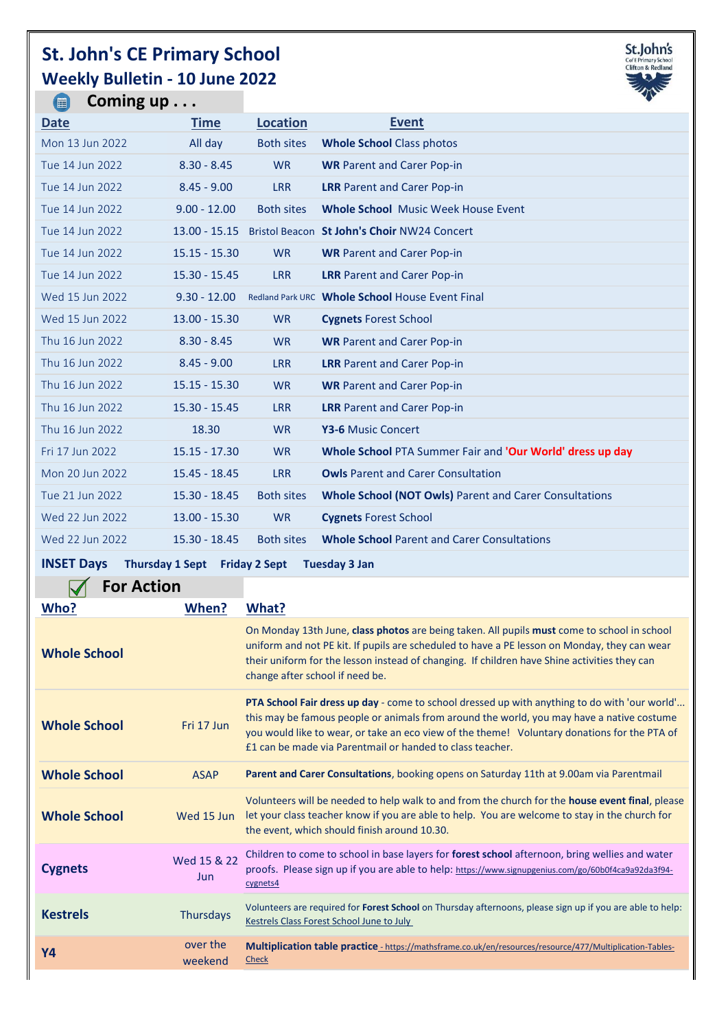## **St. John's CE Primary School Weekly Bulletin - 10 June 2022**



| Coming $up$<br>$\left(\blacksquare\right)$                                                                         |                 |                   |                                                               |  |
|--------------------------------------------------------------------------------------------------------------------|-----------------|-------------------|---------------------------------------------------------------|--|
| <b>Date</b>                                                                                                        | <b>Time</b>     | <b>Location</b>   | <b>Event</b>                                                  |  |
| Mon 13 Jun 2022                                                                                                    | All day         | <b>Both sites</b> | <b>Whole School Class photos</b>                              |  |
| Tue 14 Jun 2022                                                                                                    | $8.30 - 8.45$   | <b>WR</b>         | <b>WR Parent and Carer Pop-in</b>                             |  |
| Tue 14 Jun 2022                                                                                                    | $8.45 - 9.00$   | <b>LRR</b>        | <b>LRR</b> Parent and Carer Pop-in                            |  |
| Tue 14 Jun 2022                                                                                                    | $9.00 - 12.00$  | <b>Both sites</b> | <b>Whole School Music Week House Event</b>                    |  |
| Tue 14 Jun 2022                                                                                                    | $13.00 - 15.15$ |                   | Bristol Beacon St John's Choir NW24 Concert                   |  |
| Tue 14 Jun 2022                                                                                                    | $15.15 - 15.30$ | <b>WR</b>         | <b>WR Parent and Carer Pop-in</b>                             |  |
| Tue 14 Jun 2022                                                                                                    | $15.30 - 15.45$ | <b>LRR</b>        | <b>LRR</b> Parent and Carer Pop-in                            |  |
| Wed 15 Jun 2022                                                                                                    | $9.30 - 12.00$  |                   | Redland Park URC Whole School House Event Final               |  |
| Wed 15 Jun 2022                                                                                                    | $13.00 - 15.30$ | <b>WR</b>         | <b>Cygnets Forest School</b>                                  |  |
| Thu 16 Jun 2022                                                                                                    | $8.30 - 8.45$   | <b>WR</b>         | <b>WR Parent and Carer Pop-in</b>                             |  |
| Thu 16 Jun 2022                                                                                                    | $8.45 - 9.00$   | <b>LRR</b>        | <b>LRR</b> Parent and Carer Pop-in                            |  |
| Thu 16 Jun 2022                                                                                                    | $15.15 - 15.30$ | <b>WR</b>         | <b>WR Parent and Carer Pop-in</b>                             |  |
| Thu 16 Jun 2022                                                                                                    | $15.30 - 15.45$ | <b>LRR</b>        | <b>LRR</b> Parent and Carer Pop-in                            |  |
| Thu 16 Jun 2022                                                                                                    | 18.30           | <b>WR</b>         | Y3-6 Music Concert                                            |  |
| Fri 17 Jun 2022                                                                                                    | $15.15 - 17.30$ | <b>WR</b>         | Whole School PTA Summer Fair and 'Our World' dress up day     |  |
| Mon 20 Jun 2022                                                                                                    | 15.45 - 18.45   | <b>LRR</b>        | <b>Owls Parent and Carer Consultation</b>                     |  |
| Tue 21 Jun 2022                                                                                                    | $15.30 - 18.45$ | <b>Both sites</b> | <b>Whole School (NOT Owls) Parent and Carer Consultations</b> |  |
| Wed 22 Jun 2022                                                                                                    | $13.00 - 15.30$ | <b>WR</b>         | <b>Cygnets Forest School</b>                                  |  |
| Wed 22 Jun 2022                                                                                                    | $15.30 - 18.45$ | <b>Both sites</b> | <b>Whole School Parent and Carer Consultations</b>            |  |
| $\text{INICET}$ Dove $\blacksquare$ Thomas Lead $\blacksquare$ Fulder 2.0 and $\blacksquare$<br>The sealers Of Law |                 |                   |                                                               |  |

## **INSET Days Thursday 1 Sept Friday 2 Sept Tuesday 3 Jan**

| $\sqrt{}$<br><b>For Action</b> |
|--------------------------------|
|--------------------------------|

| Who?                | When?               | What?                                                                                                                                                                                                                                                                                                                                                          |
|---------------------|---------------------|----------------------------------------------------------------------------------------------------------------------------------------------------------------------------------------------------------------------------------------------------------------------------------------------------------------------------------------------------------------|
| <b>Whole School</b> |                     | On Monday 13th June, class photos are being taken. All pupils must come to school in school<br>uniform and not PE kit. If pupils are scheduled to have a PE lesson on Monday, they can wear<br>their uniform for the lesson instead of changing. If children have Shine activities they can<br>change after school if need be.                                 |
| <b>Whole School</b> | Fri 17 Jun          | <b>PTA School Fair dress up day</b> - come to school dressed up with anything to do with 'our world'<br>this may be famous people or animals from around the world, you may have a native costume<br>you would like to wear, or take an eco view of the theme! Voluntary donations for the PTA of<br>£1 can be made via Parentmail or handed to class teacher. |
| <b>Whole School</b> | <b>ASAP</b>         | Parent and Carer Consultations, booking opens on Saturday 11th at 9.00am via Parentmail                                                                                                                                                                                                                                                                        |
| <b>Whole School</b> | Wed 15 Jun          | Volunteers will be needed to help walk to and from the church for the house event final, please<br>let your class teacher know if you are able to help. You are welcome to stay in the church for<br>the event, which should finish around 10.30.                                                                                                              |
| <b>Cygnets</b>      | Wed 15 & 22<br>Jun  | Children to come to school in base layers for forest school afternoon, bring wellies and water<br>proofs. Please sign up if you are able to help: https://www.signupgenius.com/go/60b0f4ca9a92da3f94-<br>cygnets4                                                                                                                                              |
| <b>Kestrels</b>     | <b>Thursdays</b>    | Volunteers are required for <b>Forest School</b> on Thursday afternoons, please sign up if you are able to help:<br>Kestrels Class Forest School June to July                                                                                                                                                                                                  |
| Υ4                  | over the<br>weekend | Multiplication table practice - https://mathsframe.co.uk/en/resources/resource/477/Multiplication-Tables-<br><b>Check</b>                                                                                                                                                                                                                                      |